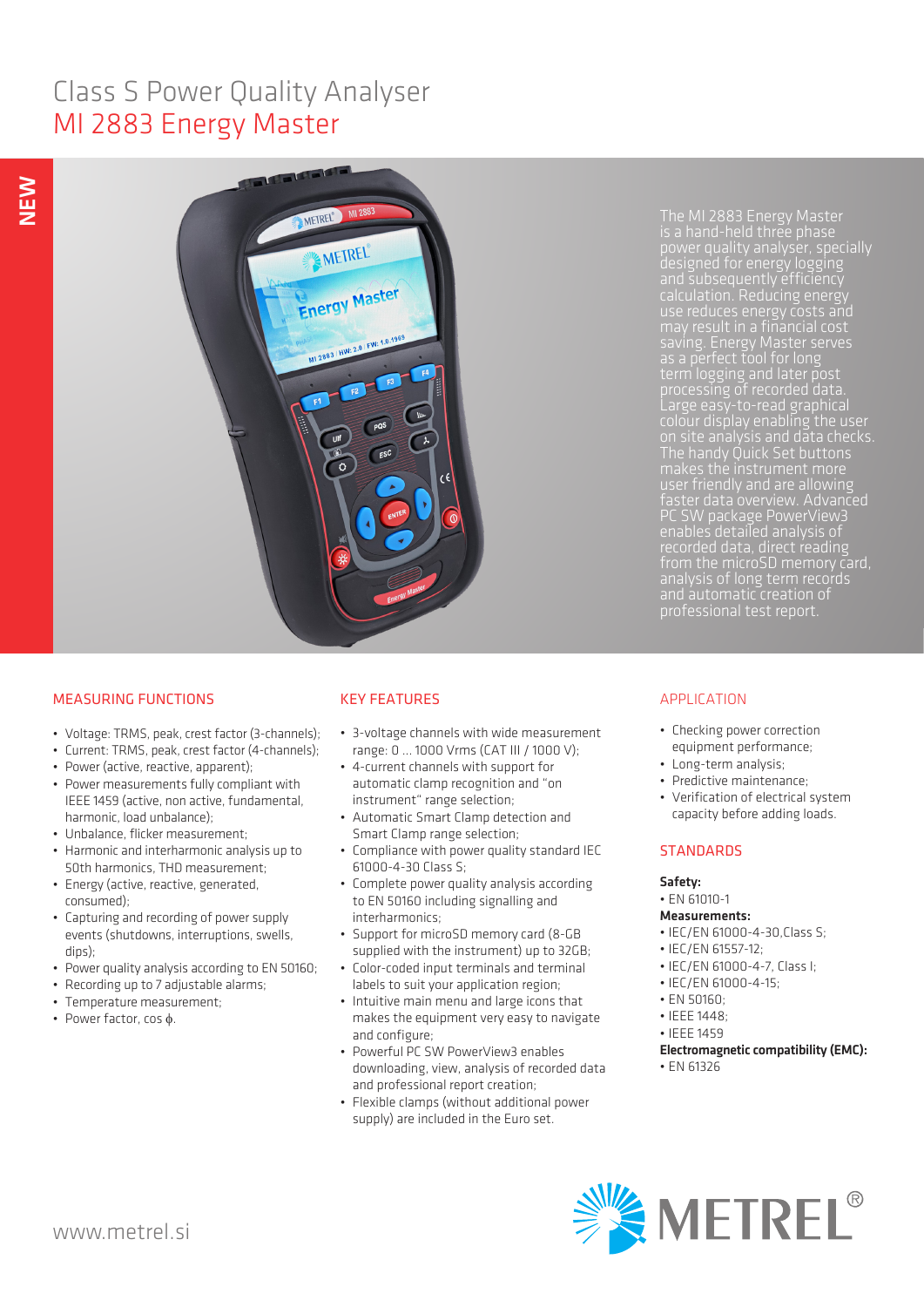# Class S Power Quality Analyser MI 2883 Energy Master



The MI 2883 Energy Master is a hand-held three phase designed for energy logging and subsequently efficiency calculation. Reducing energy use reduces energy costs and may result in a financial cost saving. Energy Master serves term logging and later post colour display enabling the user on site analysis and data checks. The handy Quick Set buttons user friendly and are allowing faster data overview. Advanced PC SW package PowerView3 recorded data, direct reading from the microSD memory card, and automatic creation of and automatic creation of<br>professional test report.

# MEASURING FUNCTIONS

- Voltage: TRMS, peak, crest factor (3-channels);
- Current: TRMS, peak, crest factor (4-channels);
- Power (active, reactive, apparent);
- Power measurements fully compliant with IEEE 1459 (active, non active, fundamental, harmonic, load unbalance);
- Unbalance, flicker measurement;
- Harmonic and interharmonic analysis up to 50th harmonics, THD measurement;
- Energy (active, reactive, generated, consumed);
- Capturing and recording of power supply events (shutdowns, interruptions, swells, dips);
- Power quality analysis according to EN 50160;
- Recording up to 7 adjustable alarms;
- Temperature measurement;
- Power factor, cos φ.

# KEY FEATURES

- 3-voltage channels with wide measurement range: 0 ... 1000 Vrms (CAT III / 1000 V);
- 4-current channels with support for automatic clamp recognition and "on instrument" range selection;
- Automatic Smart Clamp detection and Smart Clamp range selection;
- Compliance with power quality standard IEC 61000-4-30 Class S;
- Complete power quality analysis according to EN 50160 including signalling and interharmonics;
- Support for microSD memory card (8-GB supplied with the instrument) up to 32GB;
- Color-coded input terminals and terminal labels to suit your application region;
- Intuitive main menu and large icons that makes the equipment very easy to navigate and configure;
- Powerful PC SW PowerView3 enables downloading, view, analysis of recorded data and professional report creation;
- Flexible clamps (without additional power supply) are included in the Euro set.

# APPLICATION

- Checking power correction equipment performance;
- Long-term analysis;
- Predictive maintenance;
- Verification of electrical system capacity before adding loads.

# **STANDARDS**

### Safety:

• EN 61010-1

# Measurements:

- IEC/EN 61000-4-30,Class S;
- IEC/EN 61557-12;
- IEC/EN 61000-4-7, Class I;
- IEC/EN 61000-4-15;
- EN 50160; • IFFF 1448;
- IEEE 1459

- Electromagnetic compatibility (EMC):
- EN 61326